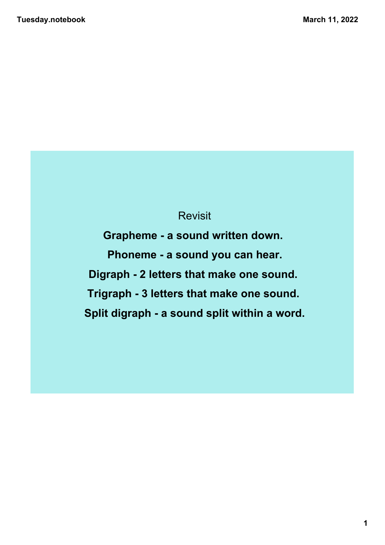#### Revisit

**Grapheme - a sound written down. Phoneme a sound you can hear. Digraph 2 letters that make one sound. Trigraph 3 letters that make one sound.**  Split digraph - a sound split within a word.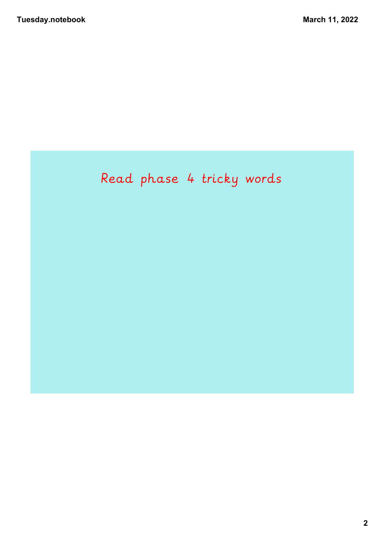#### Read phase 4 tricky words

**2**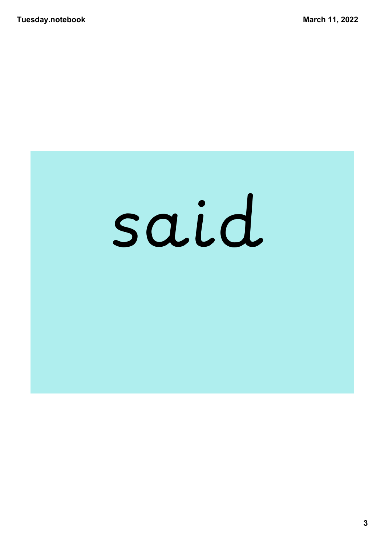## said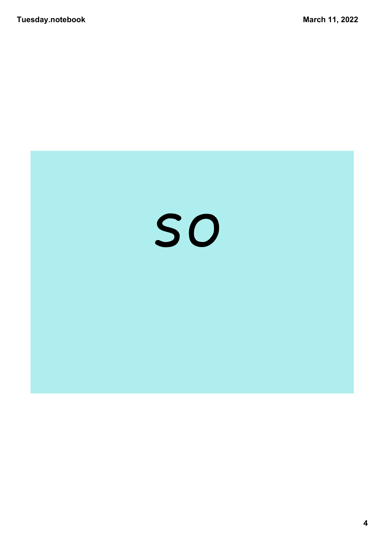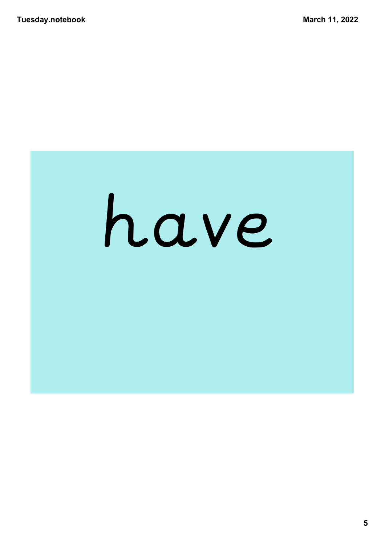## have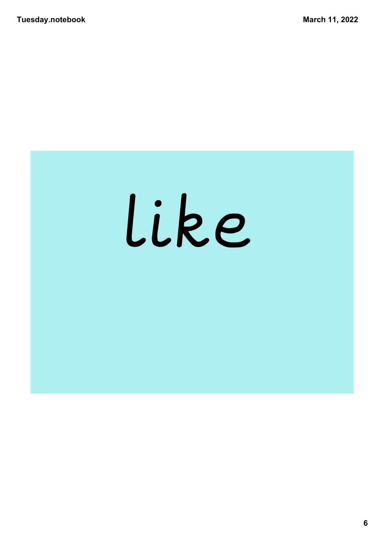## Like.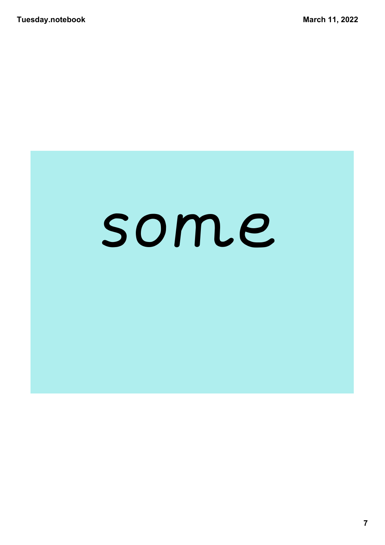## some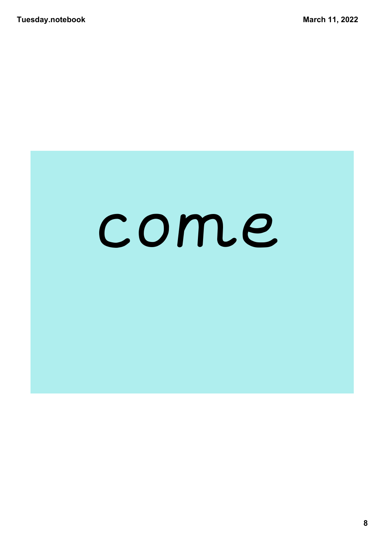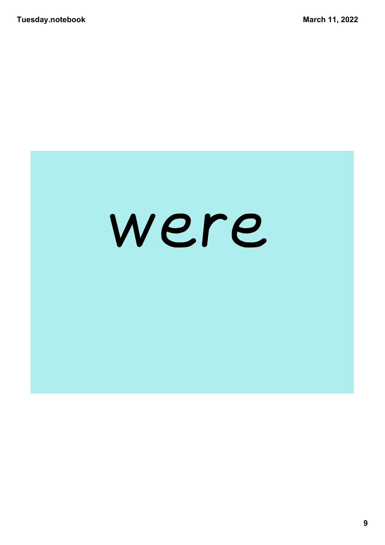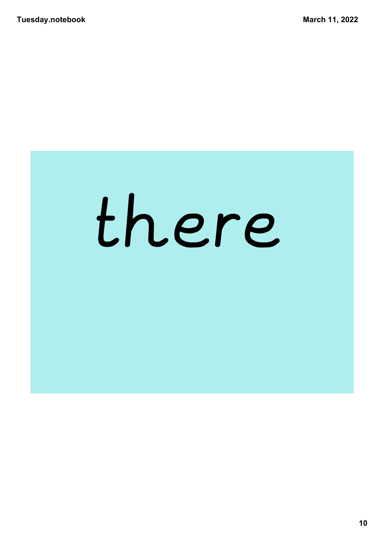## there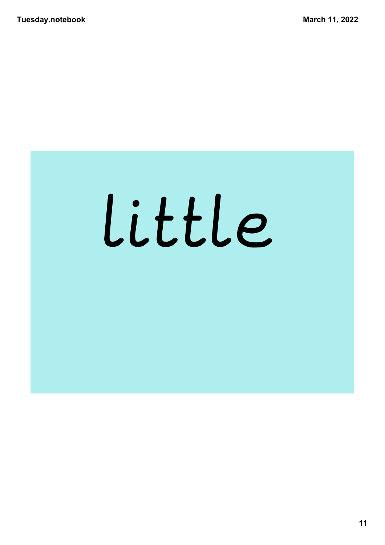## Little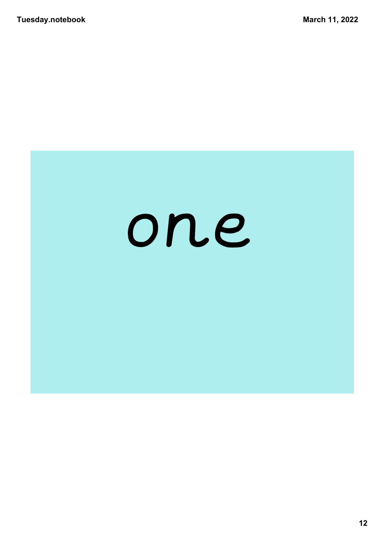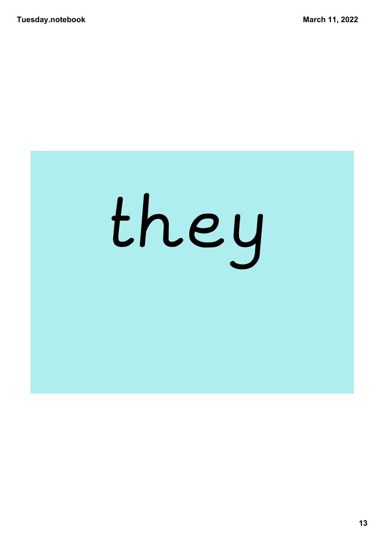**March 11, 2022**

## they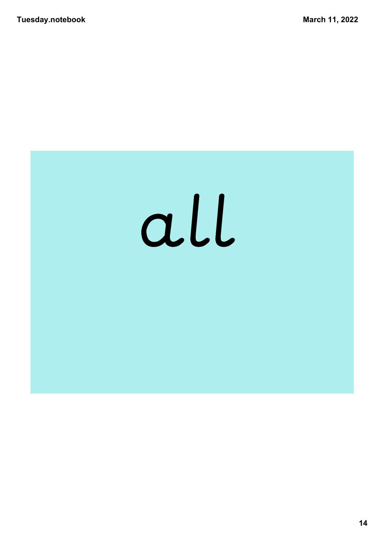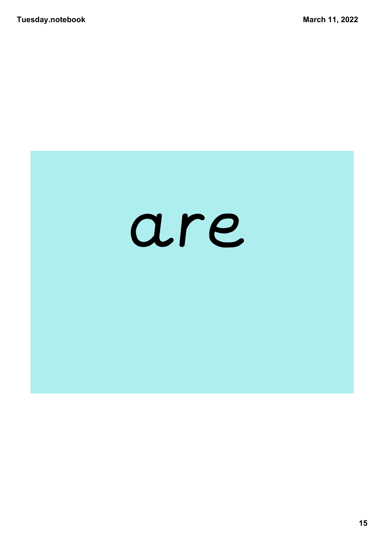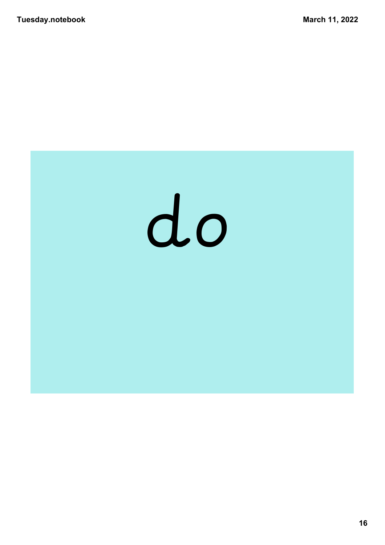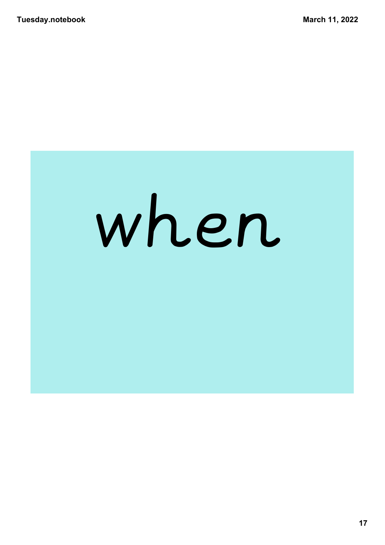## when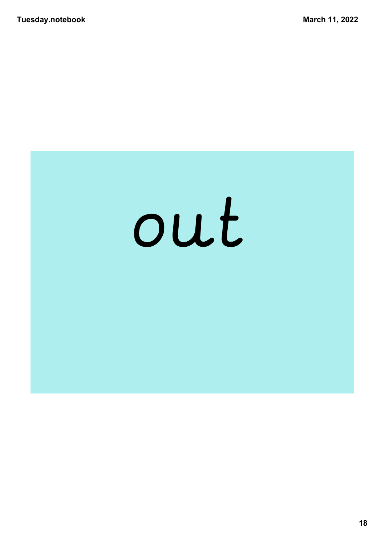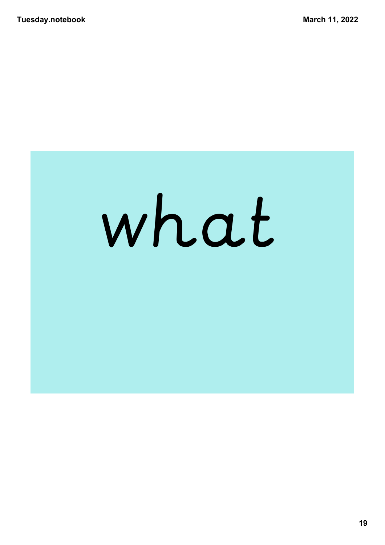## what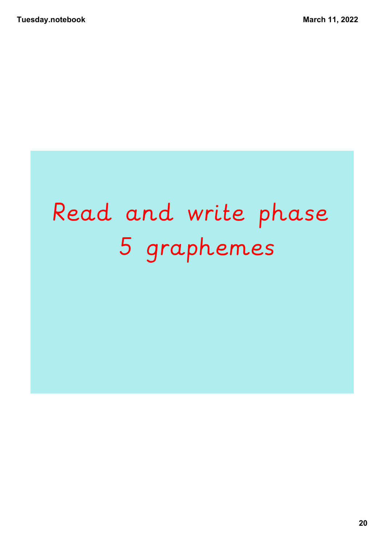#### Read and write phase 5 graphemes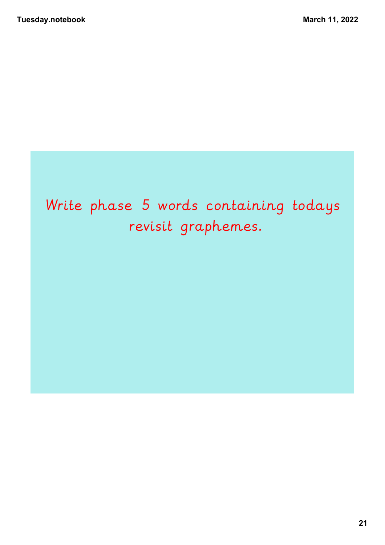#### Write phase 5 words containing todays revisit graphemes.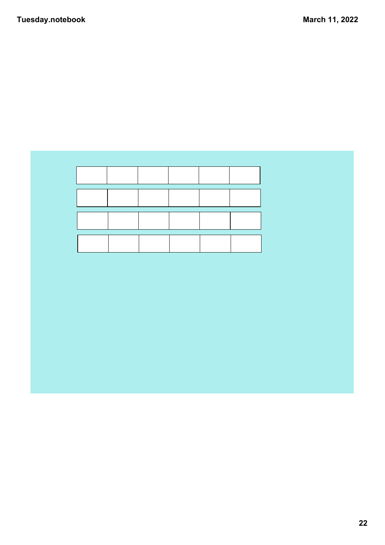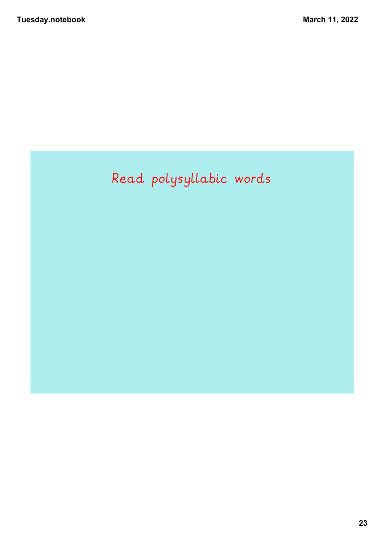#### Read polysyllabic words

**23**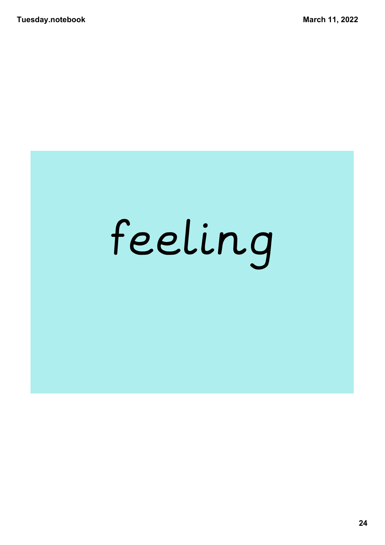## feeling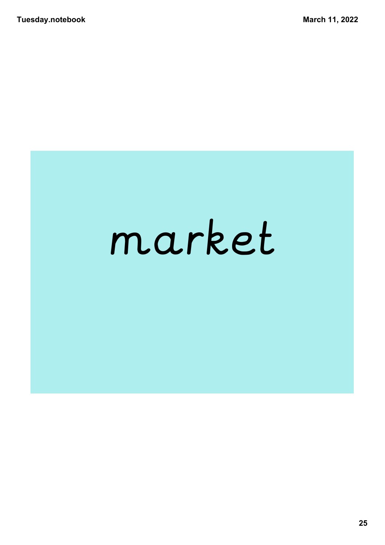## market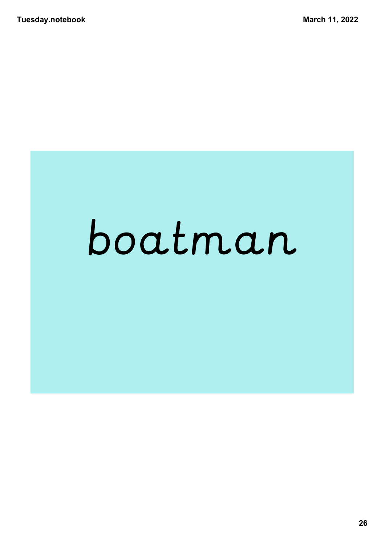## boatman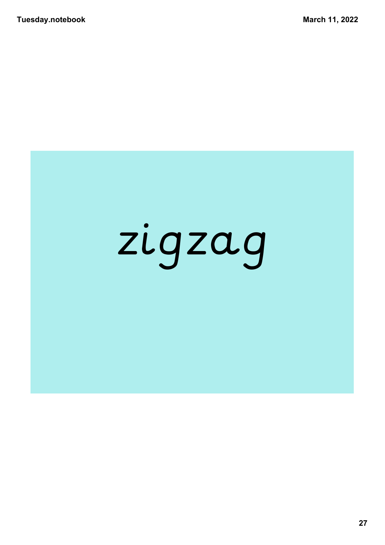## zigzag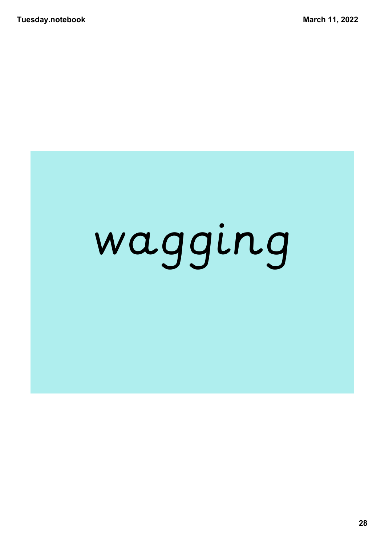# wagging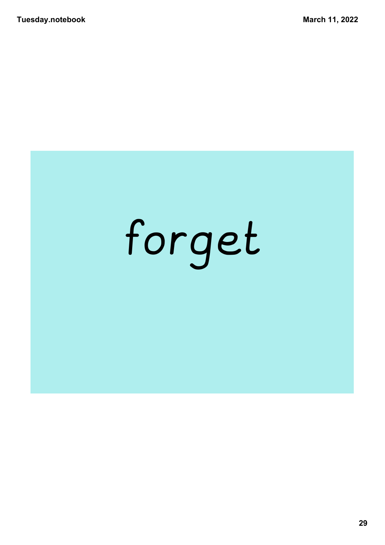## forget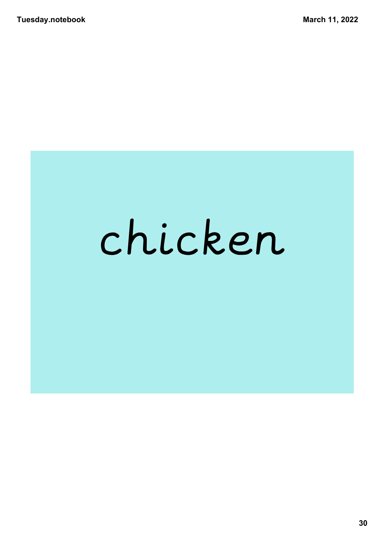## chicken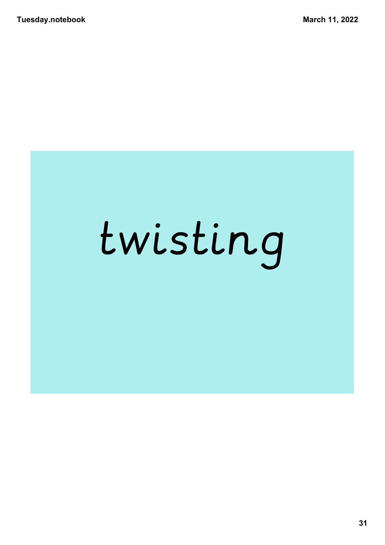# twisting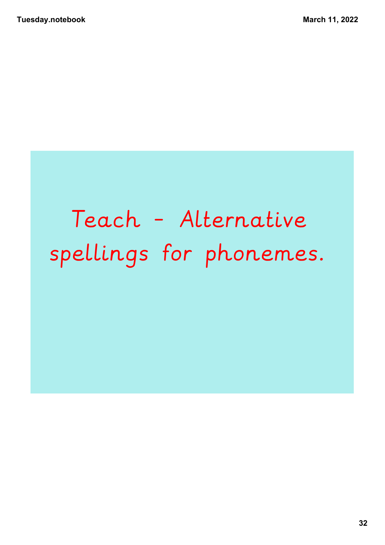#### Teach - Alternative spellings for phonemes.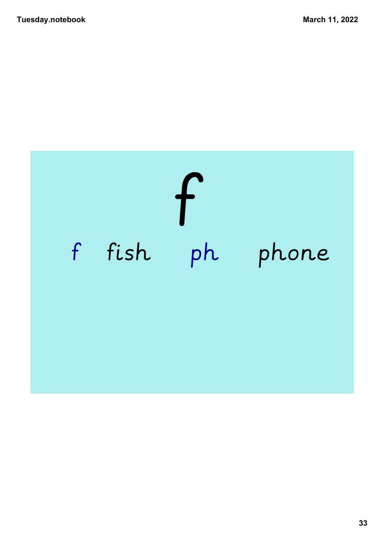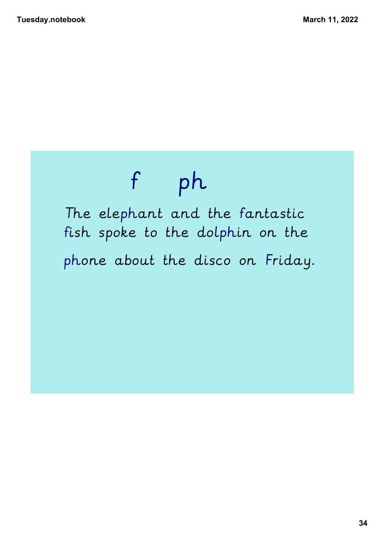#### f ph

The elephant and the fantastic fish spoke to the dolphin on the phone about the disco on Friday.